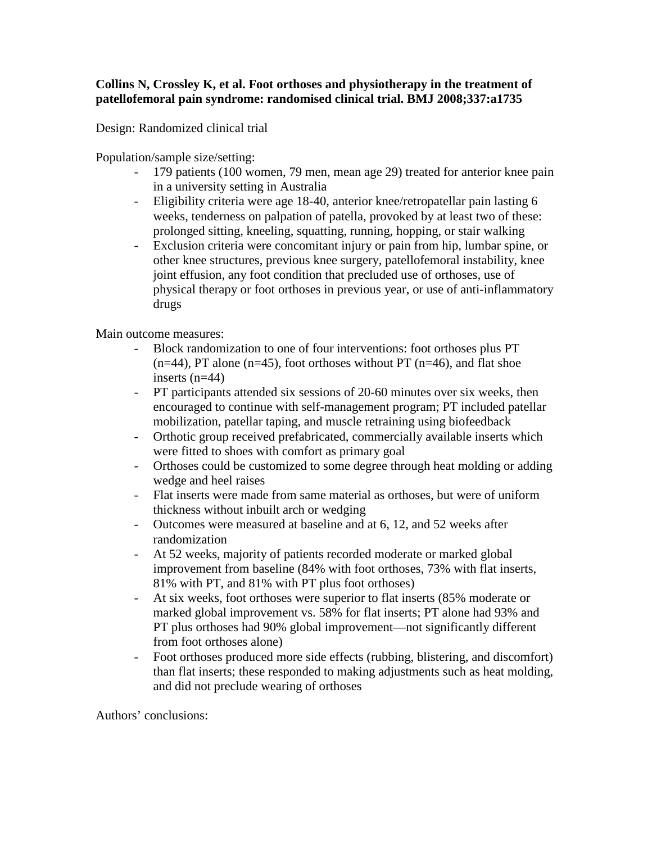## **Collins N, Crossley K, et al. Foot orthoses and physiotherapy in the treatment of patellofemoral pain syndrome: randomised clinical trial. BMJ 2008;337:a1735**

Design: Randomized clinical trial

Population/sample size/setting:

- 179 patients (100 women, 79 men, mean age 29) treated for anterior knee pain in a university setting in Australia
- Eligibility criteria were age 18-40, anterior knee/retropatellar pain lasting 6 weeks, tenderness on palpation of patella, provoked by at least two of these: prolonged sitting, kneeling, squatting, running, hopping, or stair walking
- Exclusion criteria were concomitant injury or pain from hip, lumbar spine, or other knee structures, previous knee surgery, patellofemoral instability, knee joint effusion, any foot condition that precluded use of orthoses, use of physical therapy or foot orthoses in previous year, or use of anti-inflammatory drugs

Main outcome measures:

- Block randomization to one of four interventions: foot orthoses plus PT  $(n=44)$ , PT alone  $(n=45)$ , foot orthoses without PT  $(n=46)$ , and flat shoe inserts (n=44)
- PT participants attended six sessions of 20-60 minutes over six weeks, then encouraged to continue with self-management program; PT included patellar mobilization, patellar taping, and muscle retraining using biofeedback
- Orthotic group received prefabricated, commercially available inserts which were fitted to shoes with comfort as primary goal
- Orthoses could be customized to some degree through heat molding or adding wedge and heel raises
- Flat inserts were made from same material as orthoses, but were of uniform thickness without inbuilt arch or wedging
- Outcomes were measured at baseline and at 6, 12, and 52 weeks after randomization
- At 52 weeks, majority of patients recorded moderate or marked global improvement from baseline (84% with foot orthoses, 73% with flat inserts, 81% with PT, and 81% with PT plus foot orthoses)
- At six weeks, foot orthoses were superior to flat inserts (85% moderate or marked global improvement vs. 58% for flat inserts; PT alone had 93% and PT plus orthoses had 90% global improvement—not significantly different from foot orthoses alone)
- Foot orthoses produced more side effects (rubbing, blistering, and discomfort) than flat inserts; these responded to making adjustments such as heat molding, and did not preclude wearing of orthoses

Authors' conclusions: